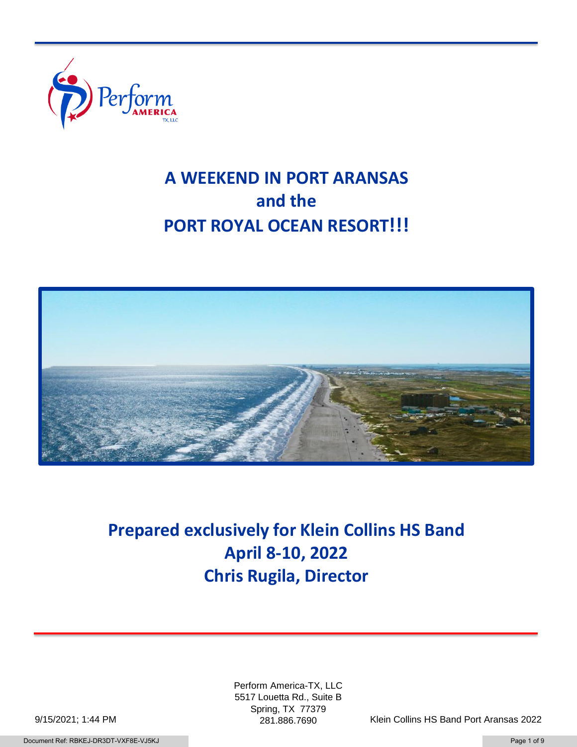

# **A WEEKEND IN PORT ARANSAS and the PORT ROYAL OCEAN RESORT!!!**



**Prepared exclusively for Klein Collins HS Band April 8-10, 2022 Chris Rugila, Director**

> Perform America-TX, LLC 5517 Louetta Rd., Suite B Spring, TX 77379

281.886.7690 Klein Collins HS Band Port Aransas 2022

9/15/2021; 1:44 PM

Document Ref: RBKEJ-DR3DT-VXF8E-VJ5KJ Page 1 of 9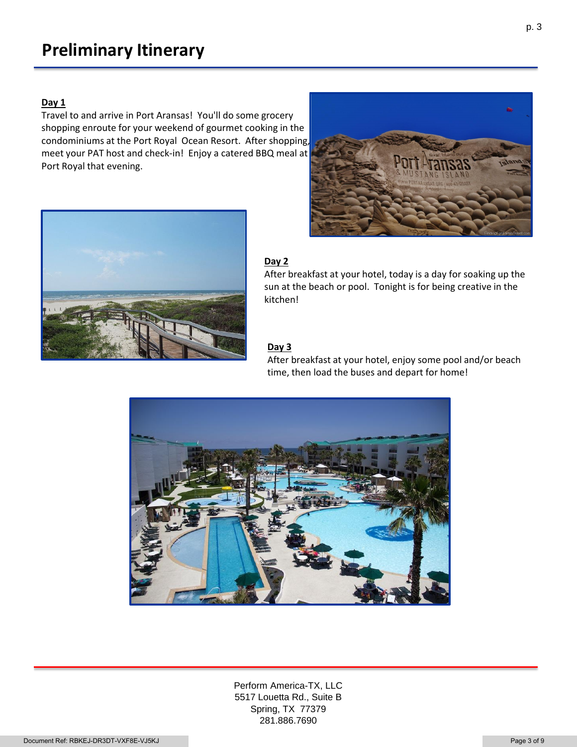#### **Day 1**

Travel to and arrive in Port Aransas! You'll do some grocery shopping enroute for your weekend of gourmet cooking in the condominiums at the Port Royal Ocean Resort. After shopping, meet your PAT host and check-in! Enjoy a catered BBQ meal at Port Royal that evening.



### **Day 2**

After breakfast at your hotel, today is a day for soaking up the sun at the beach or pool. Tonight is for being creative in the kitchen!

### **Day 3**

After breakfast at your hotel, enjoy some pool and/or beach time, then load the buses and depart for home!



Perform America-TX, LLC 5517 Louetta Rd., Suite B Spring, TX 77379 281.886.7690

p. 3